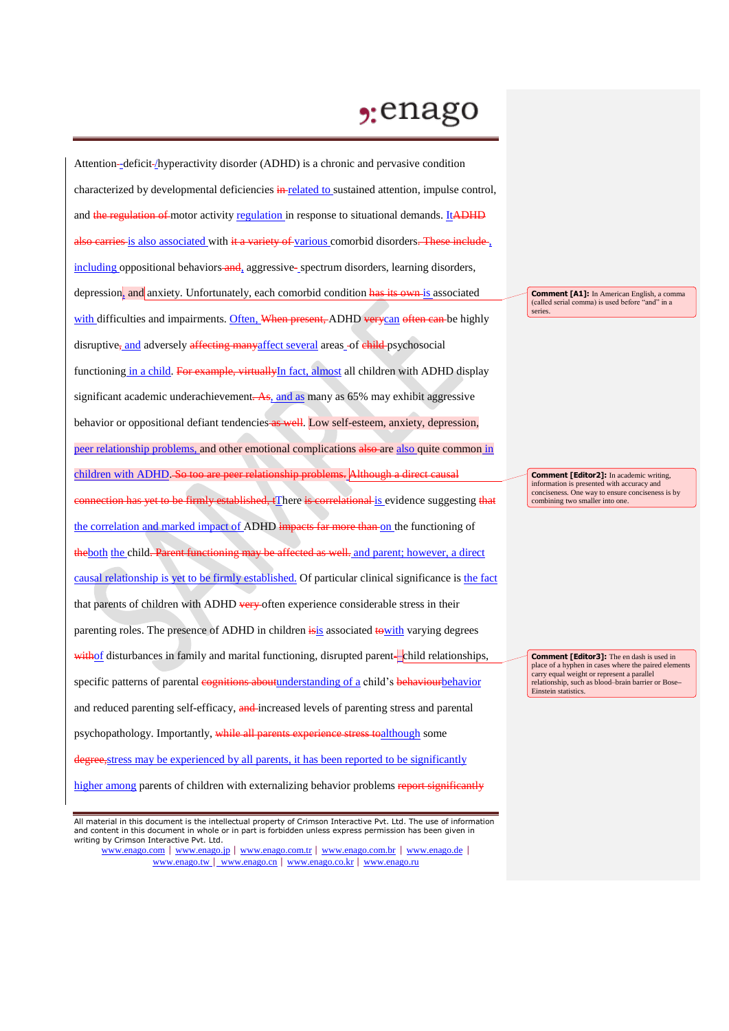## $2:$ enago

Attention--deficit-/hyperactivity disorder (ADHD) is a chronic and pervasive condition characterized by developmental deficiencies in related to sustained attention, impulse control, and the regulation of motor activity regulation in response to situational demands. ItADHD also carries is also associated with it a variety of various comorbid disorders. These include, including oppositional behaviors and, aggressive- spectrum disorders, learning disorders, depression, and anxiety. Unfortunately, each comorbid condition has its own is associated with difficulties and impairments. Often, When present, ADHD verycan often can be highly disruptive<sub>r</sub> and adversely affecting manyaffect several areas -of child-psychosocial functioning in a child. For example, virtuallyIn fact, almost all children with ADHD display significant academic underachievement.  $\overline{As}$ , and as many as 65% may exhibit aggressive behavior or oppositional defiant tendencies as well. Low self-esteem, anxiety, depression, peer relationship problems, and other emotional complications also are also quite common in children with ADHD. So too are peer relationship problems. Although a direct causal ction has <del>yet to be firmly established, t</del>There <del>is correlational is </del>evidence suggesting <del>that</del> the correlation and marked impact of ADHD impacts far more than on the functioning of the both the child. Parent functioning may be affected as well, and parent; however, a direct causal relationship is yet to be firmly established. Of particular clinical significance is the fact that parents of children with ADHD very often experience considerable stress in their parenting roles. The presence of ADHD in children is associated to with varying degrees withof disturbances in family and marital functioning, disrupted parent--child relationships, specific patterns of parental cognitions about understanding of a child's behaviour behavior and reduced parenting self-efficacy, and increased levels of parenting stress and parental psychopathology. Importantly, while all parents experience stress toalthough some degree, stress may be experienced by all parents, it has been reported to be significantly

higher among parents of children with externalizing behavior problems report significantly

www.enago.com | www.enago.jp | www.enago.com.tr | www.enago.com.br | www.enago.de | www.enago.tw | www.enago.cn | www.enago.co.kr | www.enago.ru

**Comment [A1]:** In American English, a comma (called serial comma) is used before "and" in a series.

**Comment [Editor2]:** In academic writing, information is presented with accuracy and conciseness. One way to ensure conciseness is by combining two smaller into one.

**Comment [Editor3]:** The en dash is used in place of a hyphen in cases where the paired elements carry equal weight or represent a parallel relationship, such as blood–brain barrier or Bose**–** Einstein statistics.

All material in this document is the intellectual property of Crimson Interactive Pvt. Ltd. The use of information and content in this document in whole or in part is forbidden unless express permission has been given in writing by Crimson Interactive Pvt. Ltd.